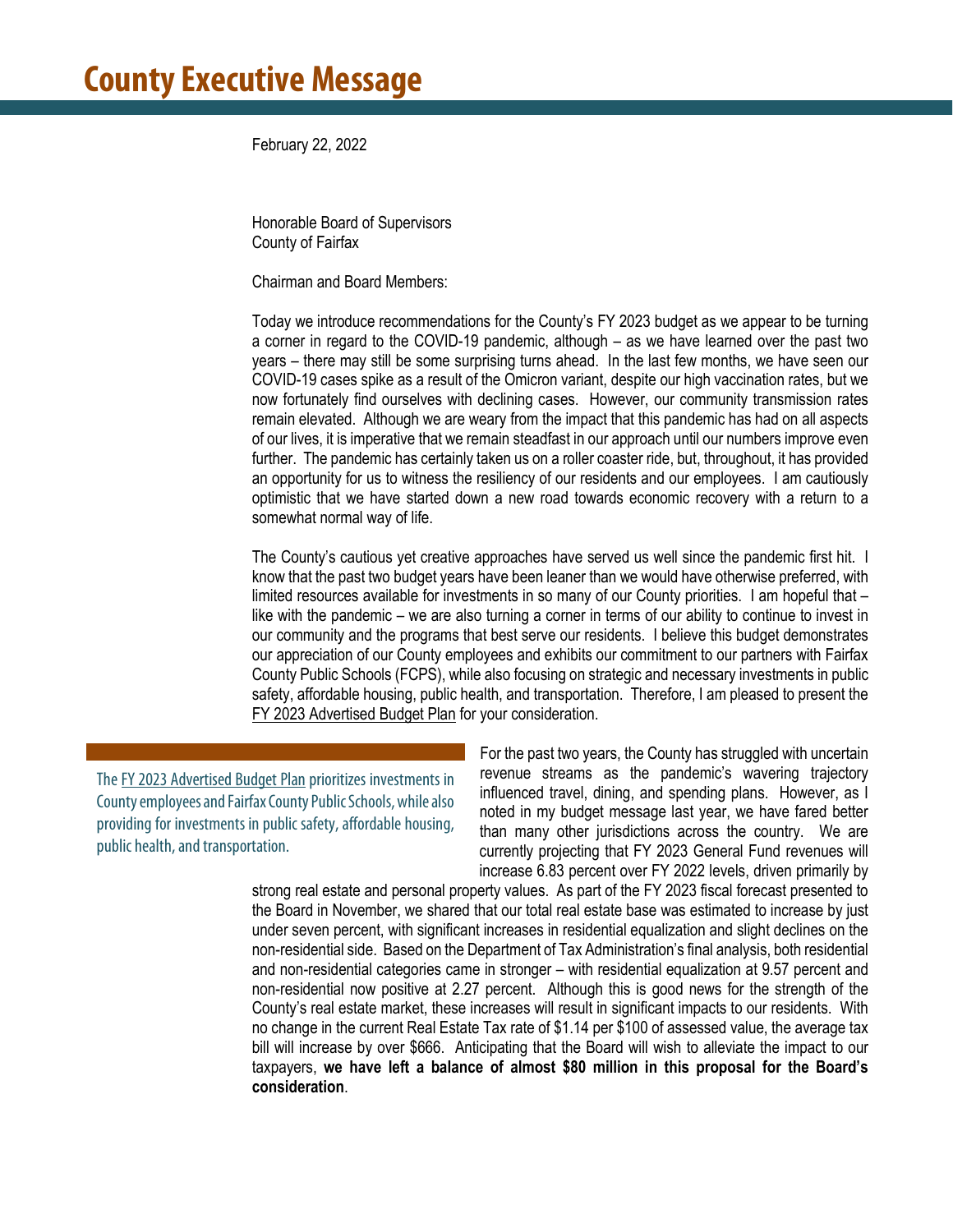February 22, 2022

Honorable Board of Supervisors County of Fairfax

Chairman and Board Members:

Today we introduce recommendations for the County's FY 2023 budget as we appear to be turning a corner in regard to the COVID-19 pandemic, although – as we have learned over the past two years – there may still be some surprising turns ahead. In the last few months, we have seen our COVID-19 cases spike as a result of the Omicron variant, despite our high vaccination rates, but we now fortunately find ourselves with declining cases. However, our community transmission rates remain elevated. Although we are weary from the impact that this pandemic has had on all aspects of our lives, it is imperative that we remain steadfast in our approach until our numbers improve even further. The pandemic has certainly taken us on a roller coaster ride, but, throughout, it has provided an opportunity for us to witness the resiliency of our residents and our employees. I am cautiously optimistic that we have started down a new road towards economic recovery with a return to a somewhat normal way of life.

The County's cautious yet creative approaches have served us well since the pandemic first hit. I know that the past two budget years have been leaner than we would have otherwise preferred, with limited resources available for investments in so many of our County priorities. I am hopeful that – like with the pandemic – we are also turning a corner in terms of our ability to continue to invest in our community and the programs that best serve our residents. I believe this budget demonstrates our appreciation of our County employees and exhibits our commitment to our partners with Fairfax County Public Schools (FCPS), while also focusing on strategic and necessary investments in public safety, affordable housing, public health, and transportation. Therefore, I am pleased to present the FY 2023 Advertised Budget Plan for your consideration.

The FY 2023 Advertised Budget Plan prioritizes investments in County employees and Fairfax County Public Schools, while also providing for investments in public safety, affordable housing, public health, and transportation.

For the past two years, the County has struggled with uncertain revenue streams as the pandemic's wavering trajectory influenced travel, dining, and spending plans. However, as I noted in my budget message last year, we have fared better than many other jurisdictions across the country. We are currently projecting that FY 2023 General Fund revenues will increase 6.83 percent over FY 2022 levels, driven primarily by

strong real estate and personal property values. As part of the FY 2023 fiscal forecast presented to the Board in November, we shared that our total real estate base was estimated to increase by just under seven percent, with significant increases in residential equalization and slight declines on the non-residential side. Based on the Department of Tax Administration's final analysis, both residential and non-residential categories came in stronger – with residential equalization at 9.57 percent and non-residential now positive at 2.27 percent. Although this is good news for the strength of the County's real estate market, these increases will result in significant impacts to our residents. With no change in the current Real Estate Tax rate of \$1.14 per \$100 of assessed value, the average tax bill will increase by over \$666. Anticipating that the Board will wish to alleviate the impact to our taxpayers, **we have left a balance of almost \$80 million in this proposal for the Board's consideration**.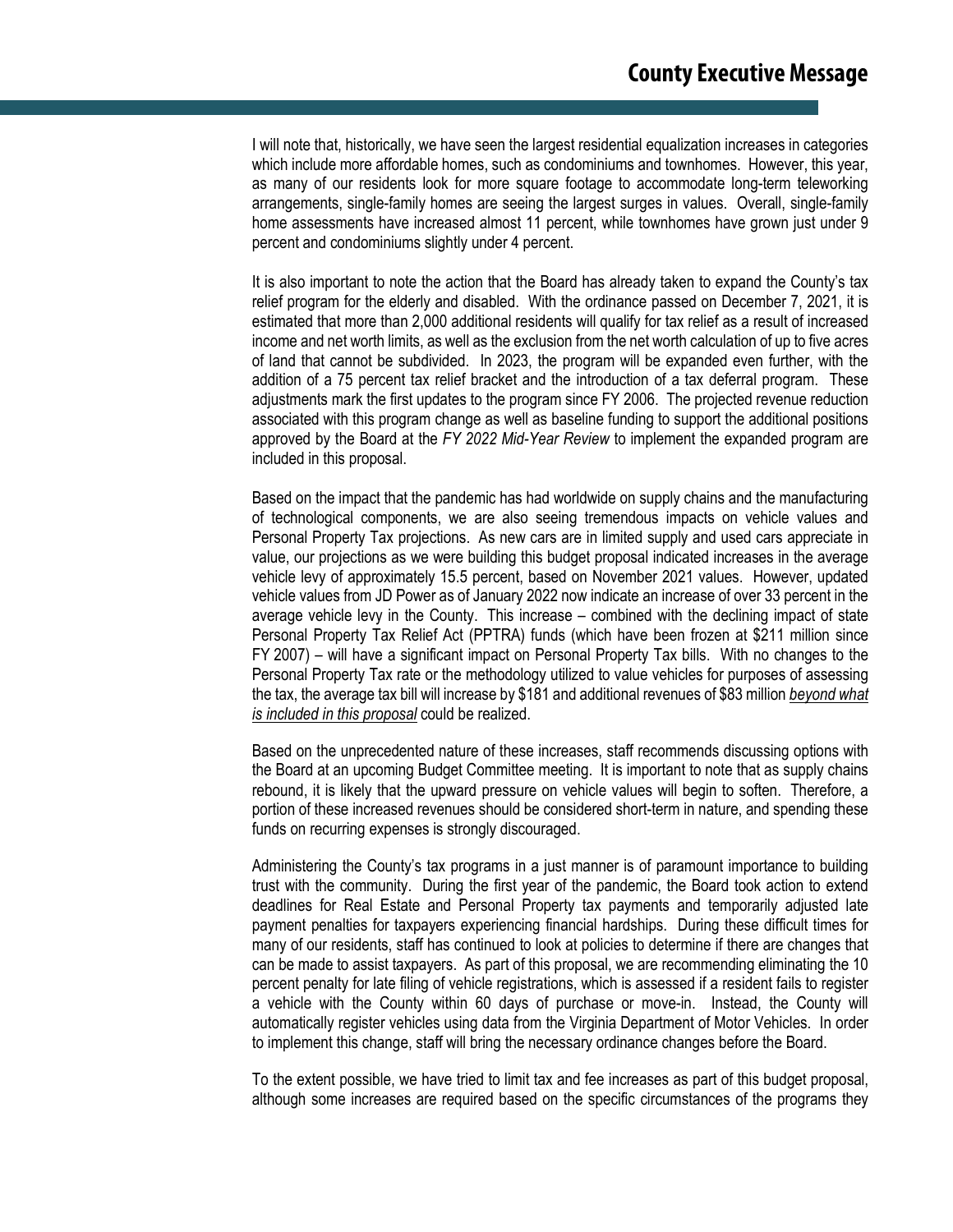I will note that, historically, we have seen the largest residential equalization increases in categories which include more affordable homes, such as condominiums and townhomes. However, this year, as many of our residents look for more square footage to accommodate long-term teleworking arrangements, single-family homes are seeing the largest surges in values. Overall, single-family home assessments have increased almost 11 percent, while townhomes have grown just under 9 percent and condominiums slightly under 4 percent.

It is also important to note the action that the Board has already taken to expand the County's tax relief program for the elderly and disabled. With the ordinance passed on December 7, 2021, it is estimated that more than 2,000 additional residents will qualify for tax relief as a result of increased income and net worth limits, as well as the exclusion from the net worth calculation of up to five acres of land that cannot be subdivided. In 2023, the program will be expanded even further, with the addition of a 75 percent tax relief bracket and the introduction of a tax deferral program. These adjustments mark the first updates to the program since FY 2006. The projected revenue reduction associated with this program change as well as baseline funding to support the additional positions approved by the Board at the *FY 2022 Mid-Year Review* to implement the expanded program are included in this proposal.

Based on the impact that the pandemic has had worldwide on supply chains and the manufacturing of technological components, we are also seeing tremendous impacts on vehicle values and Personal Property Tax projections. As new cars are in limited supply and used cars appreciate in value, our projections as we were building this budget proposal indicated increases in the average vehicle levy of approximately 15.5 percent, based on November 2021 values. However, updated vehicle values from JD Power as of January 2022 now indicate an increase of over 33 percent in the average vehicle levy in the County. This increase – combined with the declining impact of state Personal Property Tax Relief Act (PPTRA) funds (which have been frozen at \$211 million since FY 2007) – will have a significant impact on Personal Property Tax bills. With no changes to the Personal Property Tax rate or the methodology utilized to value vehicles for purposes of assessing the tax, the average tax bill will increase by \$181 and additional revenues of \$83 million *beyond what is included in this proposal* could be realized.

Based on the unprecedented nature of these increases, staff recommends discussing options with the Board at an upcoming Budget Committee meeting. It is important to note that as supply chains rebound, it is likely that the upward pressure on vehicle values will begin to soften. Therefore, a portion of these increased revenues should be considered short-term in nature, and spending these funds on recurring expenses is strongly discouraged.

Administering the County's tax programs in a just manner is of paramount importance to building trust with the community. During the first year of the pandemic, the Board took action to extend deadlines for Real Estate and Personal Property tax payments and temporarily adjusted late payment penalties for taxpayers experiencing financial hardships. During these difficult times for many of our residents, staff has continued to look at policies to determine if there are changes that can be made to assist taxpayers. As part of this proposal, we are recommending eliminating the 10 percent penalty for late filing of vehicle registrations, which is assessed if a resident fails to register a vehicle with the County within 60 days of purchase or move-in. Instead, the County will automatically register vehicles using data from the Virginia Department of Motor Vehicles. In order to implement this change, staff will bring the necessary ordinance changes before the Board.

To the extent possible, we have tried to limit tax and fee increases as part of this budget proposal, although some increases are required based on the specific circumstances of the programs they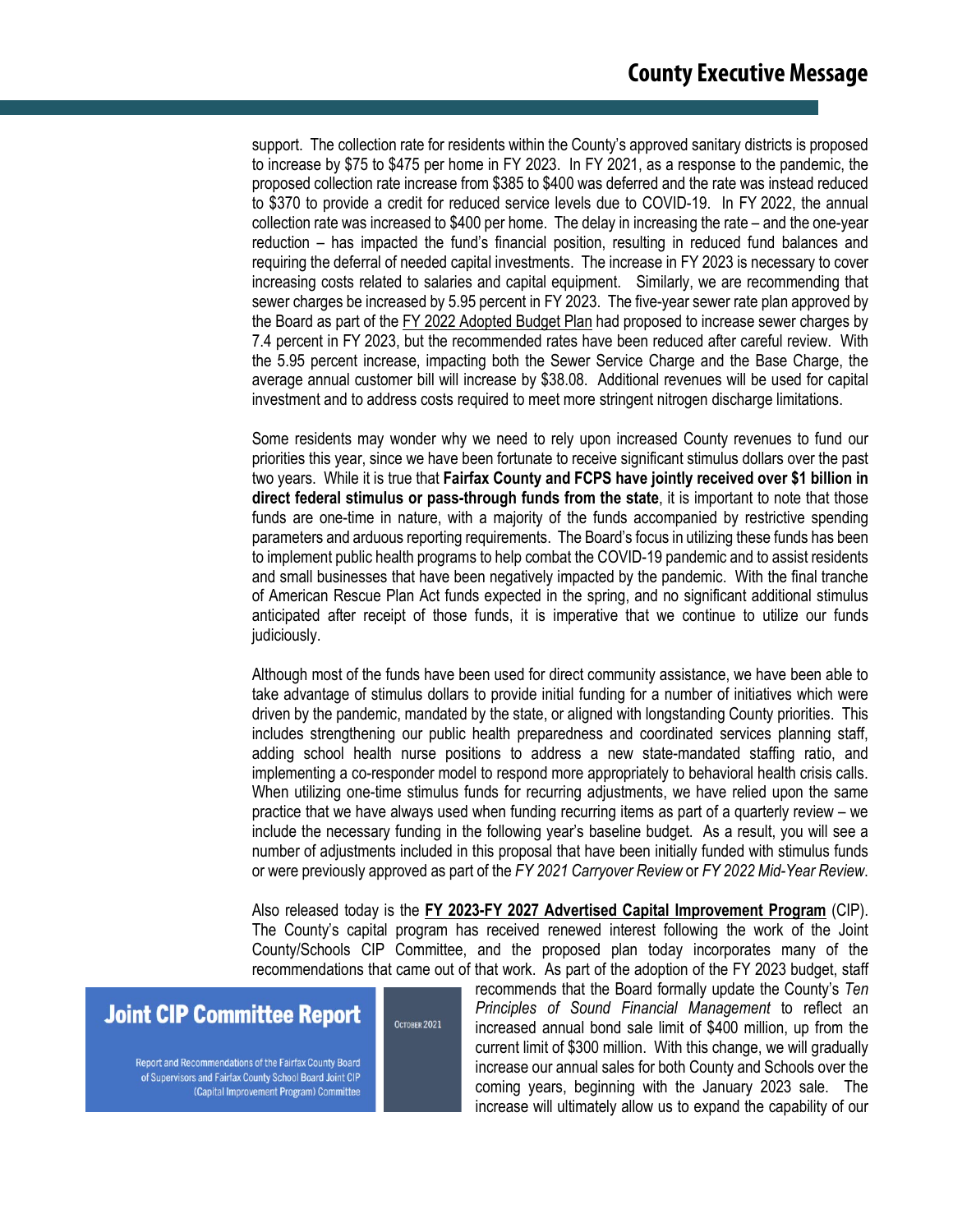support. The collection rate for residents within the County's approved sanitary districts is proposed to increase by \$75 to \$475 per home in FY 2023. In FY 2021, as a response to the pandemic, the proposed collection rate increase from \$385 to \$400 was deferred and the rate was instead reduced to \$370 to provide a credit for reduced service levels due to COVID-19. In FY 2022, the annual collection rate was increased to \$400 per home. The delay in increasing the rate – and the one-year reduction – has impacted the fund's financial position, resulting in reduced fund balances and requiring the deferral of needed capital investments. The increase in FY 2023 is necessary to cover increasing costs related to salaries and capital equipment. Similarly, we are recommending that sewer charges be increased by 5.95 percent in FY 2023. The five-year sewer rate plan approved by the Board as part of the FY 2022 Adopted Budget Plan had proposed to increase sewer charges by 7.4 percent in FY 2023, but the recommended rates have been reduced after careful review. With the 5.95 percent increase, impacting both the Sewer Service Charge and the Base Charge, the average annual customer bill will increase by \$38.08. Additional revenues will be used for capital investment and to address costs required to meet more stringent nitrogen discharge limitations.

Some residents may wonder why we need to rely upon increased County revenues to fund our priorities this year, since we have been fortunate to receive significant stimulus dollars over the past two years. While it is true that **Fairfax County and FCPS have jointly received over \$1 billion in direct federal stimulus or pass-through funds from the state**, it is important to note that those funds are one-time in nature, with a majority of the funds accompanied by restrictive spending parameters and arduous reporting requirements. The Board's focus in utilizing these funds has been to implement public health programs to help combat the COVID-19 pandemic and to assist residents and small businesses that have been negatively impacted by the pandemic. With the final tranche of American Rescue Plan Act funds expected in the spring, and no significant additional stimulus anticipated after receipt of those funds, it is imperative that we continue to utilize our funds judiciously.

Although most of the funds have been used for direct community assistance, we have been able to take advantage of stimulus dollars to provide initial funding for a number of initiatives which were driven by the pandemic, mandated by the state, or aligned with longstanding County priorities. This includes strengthening our public health preparedness and coordinated services planning staff, adding school health nurse positions to address a new state-mandated staffing ratio, and implementing a co-responder model to respond more appropriately to behavioral health crisis calls. When utilizing one-time stimulus funds for recurring adjustments, we have relied upon the same practice that we have always used when funding recurring items as part of a quarterly review – we include the necessary funding in the following year's baseline budget. As a result, you will see a number of adjustments included in this proposal that have been initially funded with stimulus funds or were previously approved as part of the *FY 2021 Carryover Review* or *FY 2022 Mid-Year Review*.

Also released today is the **FY 2023-FY 2027 Advertised Capital Improvement Program** (CIP). The County's capital program has received renewed interest following the work of the Joint County/Schools CIP Committee, and the proposed plan today incorporates many of the recommendations that came out of that work. As part of the adoption of the FY 2023 budget, staff

OCTOBER 2021

## **Joint CIP Committee Report**

Report and Recommendations of the Fairfax County Board of Supervisors and Fairfax County School Board Joint CIP (Capital Improvement Program) Committee

recommends that the Board formally update the County's *Ten Principles of Sound Financial Management* to reflect an increased annual bond sale limit of \$400 million, up from the current limit of \$300 million. With this change, we will gradually increase our annual sales for both County and Schools over the coming years, beginning with the January 2023 sale. The increase will ultimately allow us to expand the capability of our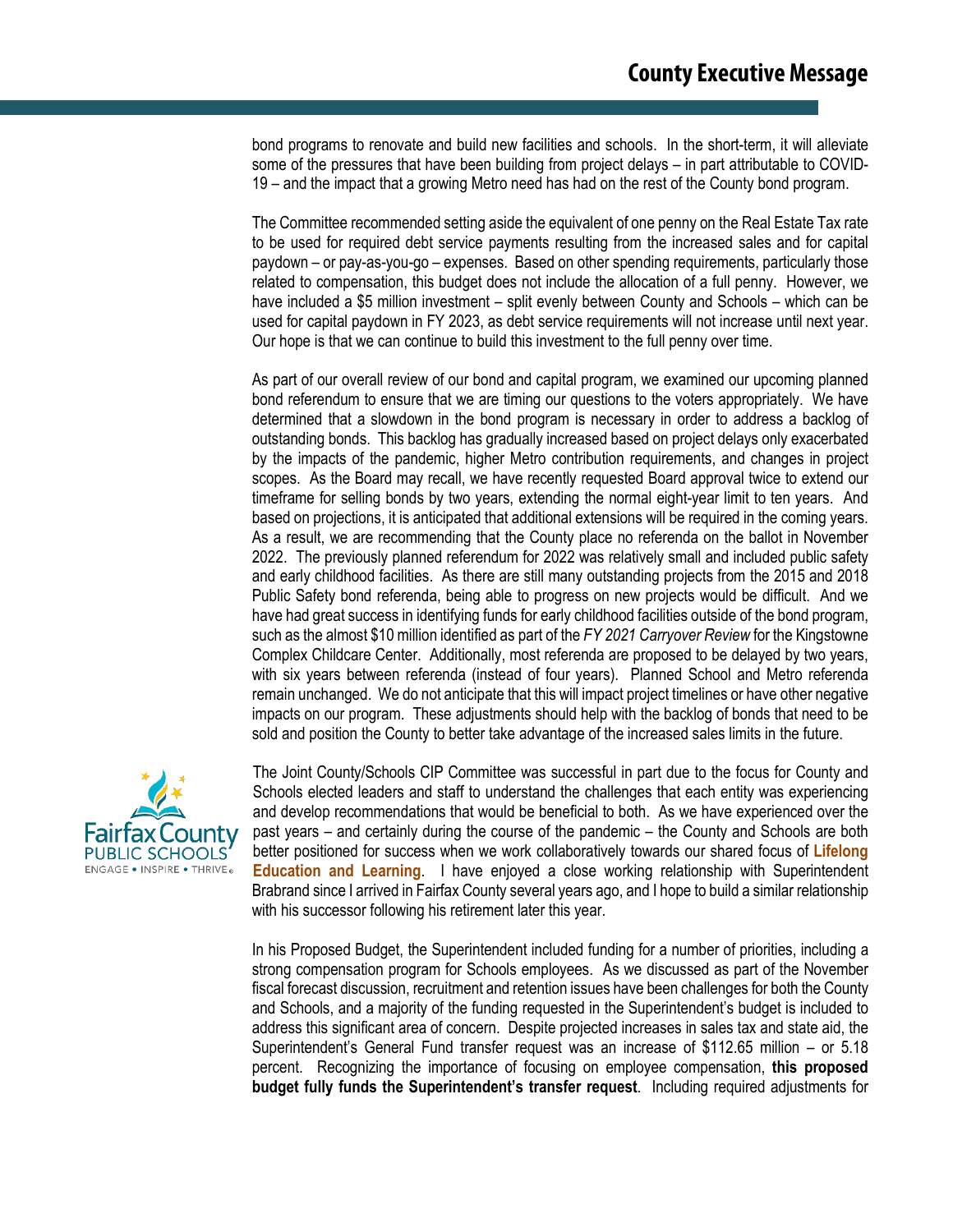bond programs to renovate and build new facilities and schools. In the short-term, it will alleviate some of the pressures that have been building from project delays – in part attributable to COVID-19 – and the impact that a growing Metro need has had on the rest of the County bond program.

The Committee recommended setting aside the equivalent of one penny on the Real Estate Tax rate to be used for required debt service payments resulting from the increased sales and for capital paydown – or pay-as-you-go – expenses. Based on other spending requirements, particularly those related to compensation, this budget does not include the allocation of a full penny. However, we have included a \$5 million investment – split evenly between County and Schools – which can be used for capital paydown in FY 2023, as debt service requirements will not increase until next year. Our hope is that we can continue to build this investment to the full penny over time.

As part of our overall review of our bond and capital program, we examined our upcoming planned bond referendum to ensure that we are timing our questions to the voters appropriately. We have determined that a slowdown in the bond program is necessary in order to address a backlog of outstanding bonds. This backlog has gradually increased based on project delays only exacerbated by the impacts of the pandemic, higher Metro contribution requirements, and changes in project scopes. As the Board may recall, we have recently requested Board approval twice to extend our timeframe for selling bonds by two years, extending the normal eight-year limit to ten years. And based on projections, it is anticipated that additional extensions will be required in the coming years. As a result, we are recommending that the County place no referenda on the ballot in November 2022. The previously planned referendum for 2022 was relatively small and included public safety and early childhood facilities. As there are still many outstanding projects from the 2015 and 2018 Public Safety bond referenda, being able to progress on new projects would be difficult. And we have had great success in identifying funds for early childhood facilities outside of the bond program, such as the almost \$10 million identified as part of the *FY 2021 Carryover Review* for the Kingstowne Complex Childcare Center. Additionally, most referenda are proposed to be delayed by two years, with six years between referenda (instead of four years). Planned School and Metro referenda remain unchanged. We do not anticipate that this will impact project timelines or have other negative impacts on our program. These adjustments should help with the backlog of bonds that need to be sold and position the County to better take advantage of the increased sales limits in the future.



The Joint County/Schools CIP Committee was successful in part due to the focus for County and Schools elected leaders and staff to understand the challenges that each entity was experiencing and develop recommendations that would be beneficial to both. As we have experienced over the past years – and certainly during the course of the pandemic – the County and Schools are both better positioned for success when we work collaboratively towards our shared focus of **Lifelong Education and Learning**. I have enjoyed a close working relationship with Superintendent Brabrand since I arrived in Fairfax County several years ago, and I hope to build a similar relationship with his successor following his retirement later this year.

In his Proposed Budget, the Superintendent included funding for a number of priorities, including a strong compensation program for Schools employees. As we discussed as part of the November fiscal forecast discussion, recruitment and retention issues have been challenges for both the County and Schools, and a majority of the funding requested in the Superintendent's budget is included to address this significant area of concern. Despite projected increases in sales tax and state aid, the Superintendent's General Fund transfer request was an increase of \$112.65 million – or 5.18 percent. Recognizing the importance of focusing on employee compensation, **this proposed budget fully funds the Superintendent's transfer request**. Including required adjustments for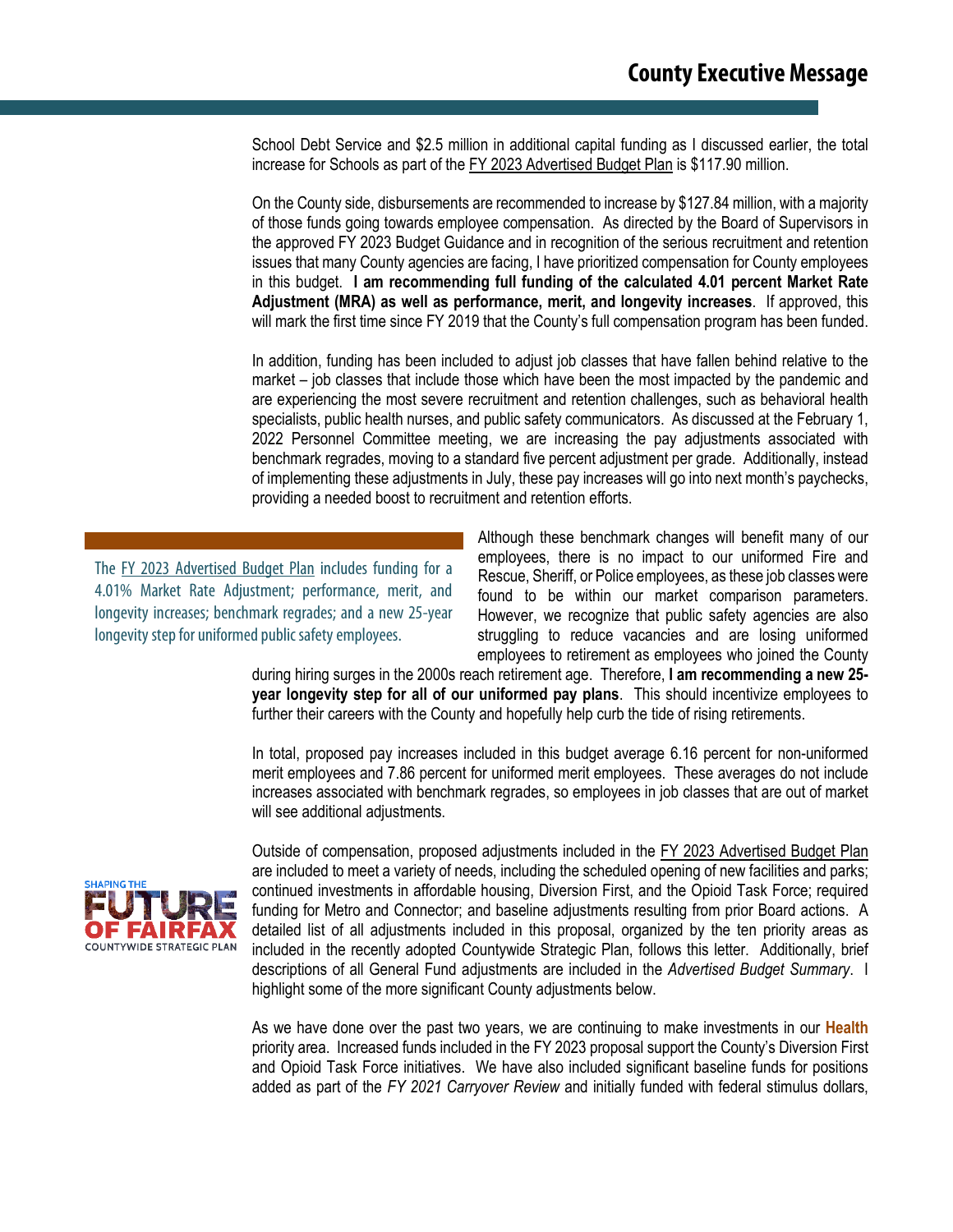School Debt Service and \$2.5 million in additional capital funding as I discussed earlier, the total increase for Schools as part of the FY 2023 Advertised Budget Plan is \$117.90 million.

On the County side, disbursements are recommended to increase by \$127.84 million, with a majority of those funds going towards employee compensation. As directed by the Board of Supervisors in the approved FY 2023 Budget Guidance and in recognition of the serious recruitment and retention issues that many County agencies are facing, I have prioritized compensation for County employees in this budget. **I am recommending full funding of the calculated 4.01 percent Market Rate Adjustment (MRA) as well as performance, merit, and longevity increases**. If approved, this will mark the first time since FY 2019 that the County's full compensation program has been funded.

In addition, funding has been included to adjust job classes that have fallen behind relative to the market – job classes that include those which have been the most impacted by the pandemic and are experiencing the most severe recruitment and retention challenges, such as behavioral health specialists, public health nurses, and public safety communicators. As discussed at the February 1, 2022 Personnel Committee meeting, we are increasing the pay adjustments associated with benchmark regrades, moving to a standard five percent adjustment per grade. Additionally, instead of implementing these adjustments in July, these pay increases will go into next month's paychecks, providing a needed boost to recruitment and retention efforts.

The FY 2023 Advertised Budget Plan includes funding for a 4.01% Market Rate Adjustment; performance, merit, and longevity increases; benchmark regrades; and a new 25-year longevity step for uniformed public safety employees.

Although these benchmark changes will benefit many of our employees, there is no impact to our uniformed Fire and Rescue, Sheriff, or Police employees, as these job classes were found to be within our market comparison parameters. However, we recognize that public safety agencies are also struggling to reduce vacancies and are losing uniformed employees to retirement as employees who joined the County

during hiring surges in the 2000s reach retirement age. Therefore, **I am recommending a new 25 year longevity step for all of our uniformed pay plans**. This should incentivize employees to further their careers with the County and hopefully help curb the tide of rising retirements.

In total, proposed pay increases included in this budget average 6.16 percent for non-uniformed merit employees and 7.86 percent for uniformed merit employees. These averages do not include increases associated with benchmark regrades, so employees in job classes that are out of market will see additional adjustments.



Outside of compensation, proposed adjustments included in the FY 2023 Advertised Budget Plan are included to meet a variety of needs, including the scheduled opening of new facilities and parks; continued investments in affordable housing, Diversion First, and the Opioid Task Force; required funding for Metro and Connector; and baseline adjustments resulting from prior Board actions. A detailed list of all adjustments included in this proposal, organized by the ten priority areas as included in the recently adopted Countywide Strategic Plan, follows this letter. Additionally, brief descriptions of all General Fund adjustments are included in the *Advertised Budget Summary*. I highlight some of the more significant County adjustments below.

As we have done over the past two years, we are continuing to make investments in our **Health** priority area. Increased funds included in the FY 2023 proposal support the County's Diversion First and Opioid Task Force initiatives. We have also included significant baseline funds for positions added as part of the *FY 2021 Carryover Review* and initially funded with federal stimulus dollars,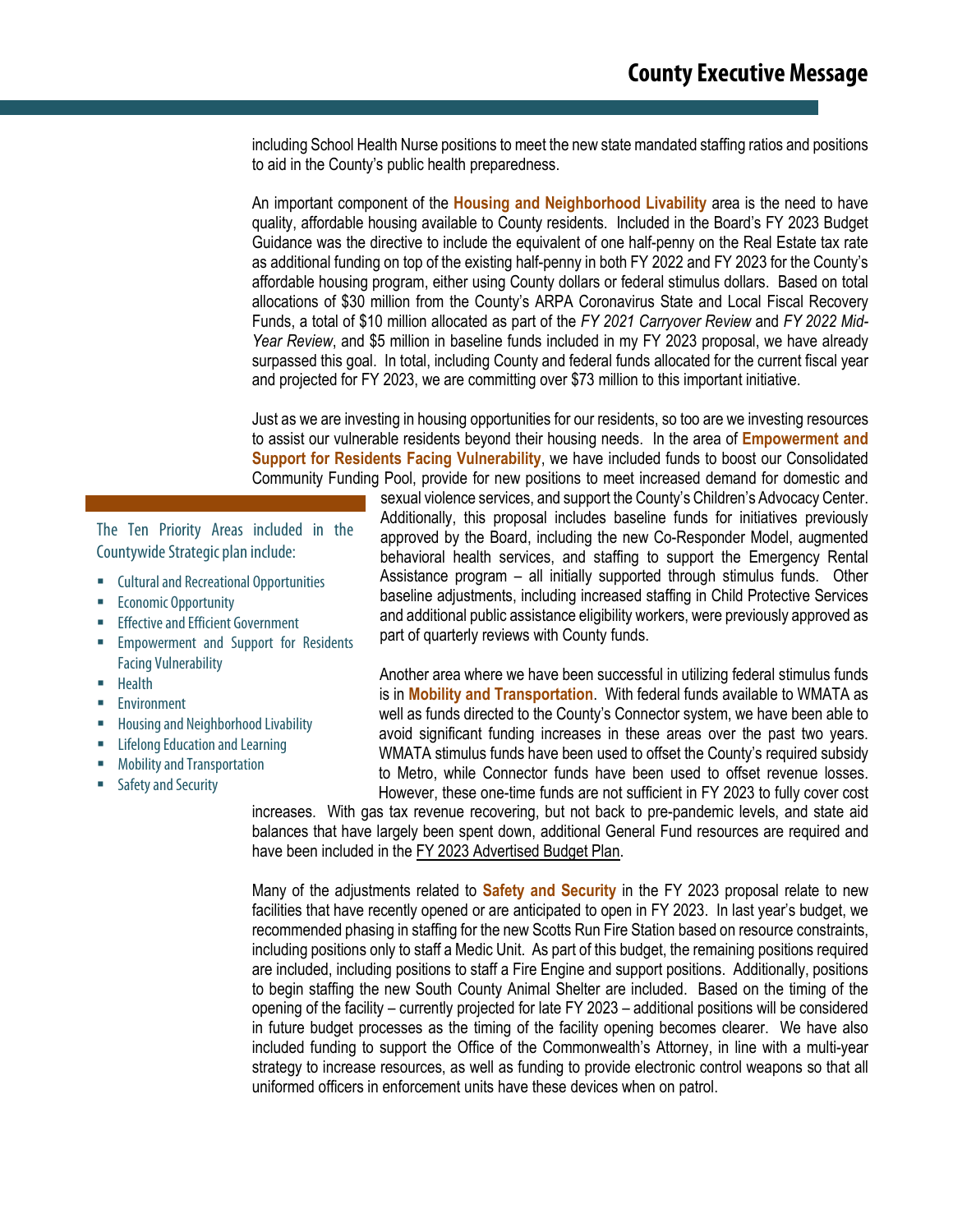including School Health Nurse positions to meet the new state mandated staffing ratios and positions to aid in the County's public health preparedness.

An important component of the **Housing and Neighborhood Livability** area is the need to have quality, affordable housing available to County residents. Included in the Board's FY 2023 Budget Guidance was the directive to include the equivalent of one half-penny on the Real Estate tax rate as additional funding on top of the existing half-penny in both FY 2022 and FY 2023 for the County's affordable housing program, either using County dollars or federal stimulus dollars. Based on total allocations of \$30 million from the County's ARPA Coronavirus State and Local Fiscal Recovery Funds, a total of \$10 million allocated as part of the *FY 2021 Carryover Review* and *FY 2022 Mid-Year Review*, and \$5 million in baseline funds included in my FY 2023 proposal, we have already surpassed this goal. In total, including County and federal funds allocated for the current fiscal year and projected for FY 2023, we are committing over \$73 million to this important initiative.

Just as we are investing in housing opportunities for our residents, so too are we investing resources to assist our vulnerable residents beyond their housing needs. In the area of **Empowerment and Support for Residents Facing Vulnerability**, we have included funds to boost our Consolidated Community Funding Pool, provide for new positions to meet increased demand for domestic and

The Ten Priority Areas included in the Countywide Strategic plan include:

- **EXECUTE:** Cultural and Recreational Opportunities
- **Economic Opportunity**
- **Effective and Efficient Government**
- **Empowerment and Support for Residents** Facing Vulnerability
- **Health**
- **Environment**
- **Housing and Neighborhood Livability**
- Lifelong Education and Learning
- Mobility and Transportation
- Safety and Security

sexual violence services, and support the County's Children's Advocacy Center. Additionally, this proposal includes baseline funds for initiatives previously approved by the Board, including the new Co-Responder Model, augmented behavioral health services, and staffing to support the Emergency Rental Assistance program – all initially supported through stimulus funds. Other baseline adjustments, including increased staffing in Child Protective Services and additional public assistance eligibility workers, were previously approved as part of quarterly reviews with County funds.

Another area where we have been successful in utilizing federal stimulus funds is in **Mobility and Transportation**. With federal funds available to WMATA as well as funds directed to the County's Connector system, we have been able to avoid significant funding increases in these areas over the past two years. WMATA stimulus funds have been used to offset the County's required subsidy to Metro, while Connector funds have been used to offset revenue losses. However, these one-time funds are not sufficient in FY 2023 to fully cover cost

increases. With gas tax revenue recovering, but not back to pre-pandemic levels, and state aid balances that have largely been spent down, additional General Fund resources are required and have been included in the FY 2023 Advertised Budget Plan.

Many of the adjustments related to **Safety and Security** in the FY 2023 proposal relate to new facilities that have recently opened or are anticipated to open in FY 2023. In last year's budget, we recommended phasing in staffing for the new Scotts Run Fire Station based on resource constraints, including positions only to staff a Medic Unit. As part of this budget, the remaining positions required are included, including positions to staff a Fire Engine and support positions. Additionally, positions to begin staffing the new South County Animal Shelter are included. Based on the timing of the opening of the facility – currently projected for late FY 2023 – additional positions will be considered in future budget processes as the timing of the facility opening becomes clearer. We have also included funding to support the Office of the Commonwealth's Attorney, in line with a multi-year strategy to increase resources, as well as funding to provide electronic control weapons so that all uniformed officers in enforcement units have these devices when on patrol.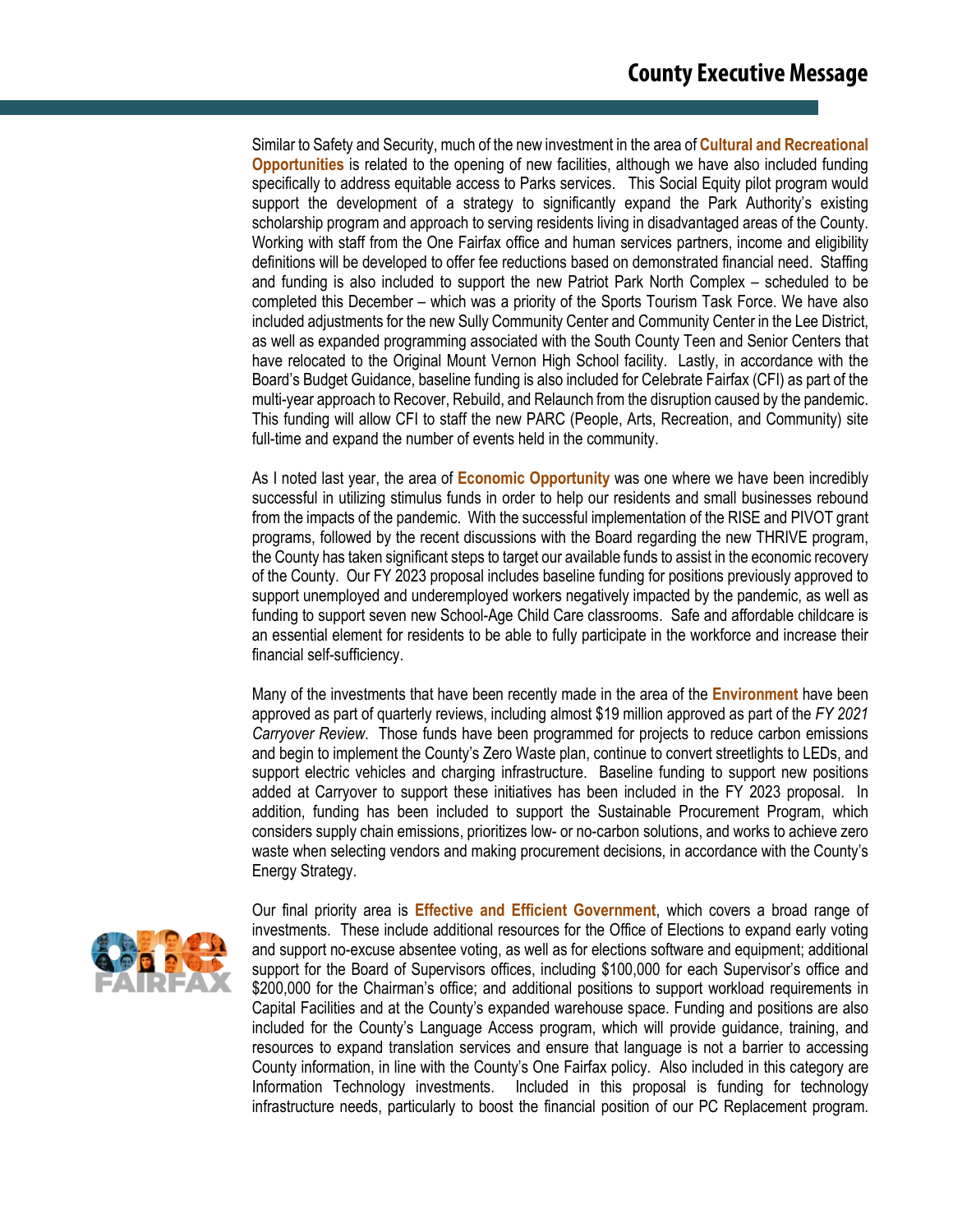Similar to Safety and Security, much of the new investment in the area of **Cultural and Recreational Opportunities** is related to the opening of new facilities, although we have also included funding specifically to address equitable access to Parks services. This Social Equity pilot program would support the development of a strategy to significantly expand the Park Authority's existing scholarship program and approach to serving residents living in disadvantaged areas of the County. Working with staff from the One Fairfax office and human services partners, income and eligibility definitions will be developed to offer fee reductions based on demonstrated financial need. Staffing and funding is also included to support the new Patriot Park North Complex – scheduled to be completed this December – which was a priority of the Sports Tourism Task Force. We have also included adjustments for the new Sully Community Center and Community Center in the Lee District, as well as expanded programming associated with the South County Teen and Senior Centers that have relocated to the Original Mount Vernon High School facility. Lastly, in accordance with the Board's Budget Guidance, baseline funding is also included for Celebrate Fairfax (CFI) as part of the multi-year approach to Recover, Rebuild, and Relaunch from the disruption caused by the pandemic. This funding will allow CFI to staff the new PARC (People, Arts, Recreation, and Community) site full-time and expand the number of events held in the community.

As I noted last year, the area of **Economic Opportunity** was one where we have been incredibly successful in utilizing stimulus funds in order to help our residents and small businesses rebound from the impacts of the pandemic. With the successful implementation of the RISE and PIVOT grant programs, followed by the recent discussions with the Board regarding the new THRIVE program, the County has taken significant steps to target our available funds to assist in the economic recovery of the County. Our FY 2023 proposal includes baseline funding for positions previously approved to support unemployed and underemployed workers negatively impacted by the pandemic, as well as funding to support seven new School-Age Child Care classrooms. Safe and affordable childcare is an essential element for residents to be able to fully participate in the workforce and increase their financial self-sufficiency.

Many of the investments that have been recently made in the area of the **Environment** have been approved as part of quarterly reviews, including almost \$19 million approved as part of the *FY 2021 Carryover Review*. Those funds have been programmed for projects to reduce carbon emissions and begin to implement the County's Zero Waste plan, continue to convert streetlights to LEDs, and support electric vehicles and charging infrastructure. Baseline funding to support new positions added at Carryover to support these initiatives has been included in the FY 2023 proposal. In addition, funding has been included to support the Sustainable Procurement Program, which considers supply chain emissions, prioritizes low- or no-carbon solutions, and works to achieve zero waste when selecting vendors and making procurement decisions, in accordance with the County's Energy Strategy.



Our final priority area is **Effective and Efficient Government**, which covers a broad range of investments. These include additional resources for the Office of Elections to expand early voting and support no-excuse absentee voting, as well as for elections software and equipment; additional support for the Board of Supervisors offices, including \$100,000 for each Supervisor's office and \$200,000 for the Chairman's office; and additional positions to support workload requirements in Capital Facilities and at the County's expanded warehouse space. Funding and positions are also included for the County's Language Access program, which will provide guidance, training, and resources to expand translation services and ensure that language is not a barrier to accessing County information, in line with the County's One Fairfax policy. Also included in this category are Information Technology investments. Included in this proposal is funding for technology infrastructure needs, particularly to boost the financial position of our PC Replacement program.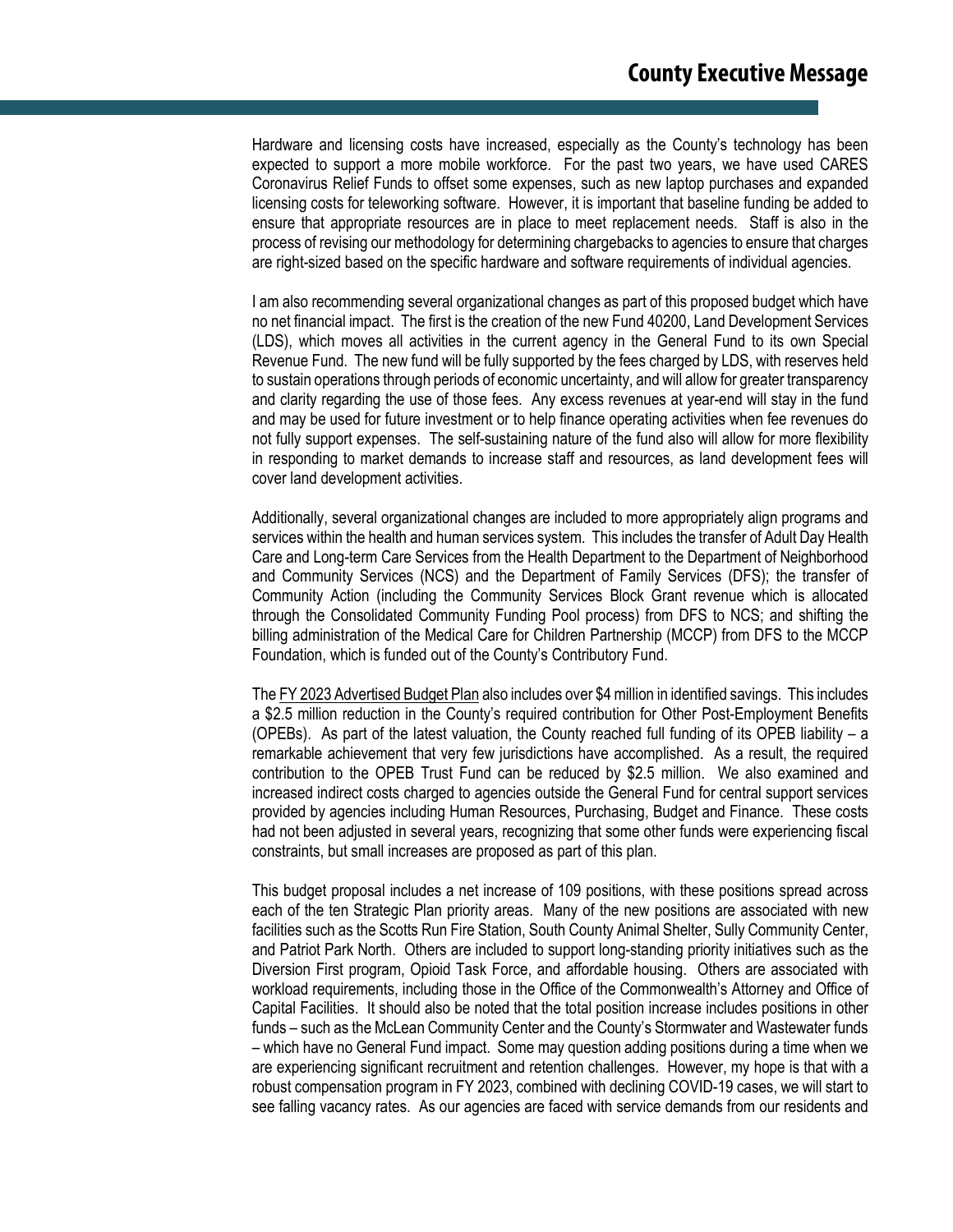Hardware and licensing costs have increased, especially as the County's technology has been expected to support a more mobile workforce. For the past two years, we have used CARES Coronavirus Relief Funds to offset some expenses, such as new laptop purchases and expanded licensing costs for teleworking software. However, it is important that baseline funding be added to ensure that appropriate resources are in place to meet replacement needs. Staff is also in the process of revising our methodology for determining chargebacks to agencies to ensure that charges are right-sized based on the specific hardware and software requirements of individual agencies.

I am also recommending several organizational changes as part of this proposed budget which have no net financial impact. The first is the creation of the new Fund 40200, Land Development Services (LDS), which moves all activities in the current agency in the General Fund to its own Special Revenue Fund. The new fund will be fully supported by the fees charged by LDS, with reserves held to sustain operations through periods of economic uncertainty, and will allow for greater transparency and clarity regarding the use of those fees. Any excess revenues at year-end will stay in the fund and may be used for future investment or to help finance operating activities when fee revenues do not fully support expenses. The self-sustaining nature of the fund also will allow for more flexibility in responding to market demands to increase staff and resources, as land development fees will cover land development activities.

Additionally, several organizational changes are included to more appropriately align programs and services within the health and human services system. This includes the transfer of Adult Day Health Care and Long-term Care Services from the Health Department to the Department of Neighborhood and Community Services (NCS) and the Department of Family Services (DFS); the transfer of Community Action (including the Community Services Block Grant revenue which is allocated through the Consolidated Community Funding Pool process) from DFS to NCS; and shifting the billing administration of the Medical Care for Children Partnership (MCCP) from DFS to the MCCP Foundation, which is funded out of the County's Contributory Fund.

The FY 2023 Advertised Budget Plan also includes over \$4 million in identified savings. This includes a \$2.5 million reduction in the County's required contribution for Other Post-Employment Benefits (OPEBs). As part of the latest valuation, the County reached full funding of its OPEB liability – a remarkable achievement that very few jurisdictions have accomplished. As a result, the required contribution to the OPEB Trust Fund can be reduced by \$2.5 million. We also examined and increased indirect costs charged to agencies outside the General Fund for central support services provided by agencies including Human Resources, Purchasing, Budget and Finance. These costs had not been adjusted in several years, recognizing that some other funds were experiencing fiscal constraints, but small increases are proposed as part of this plan.

This budget proposal includes a net increase of 109 positions, with these positions spread across each of the ten Strategic Plan priority areas. Many of the new positions are associated with new facilities such as the Scotts Run Fire Station, South County Animal Shelter, Sully Community Center, and Patriot Park North. Others are included to support long-standing priority initiatives such as the Diversion First program, Opioid Task Force, and affordable housing. Others are associated with workload requirements, including those in the Office of the Commonwealth's Attorney and Office of Capital Facilities. It should also be noted that the total position increase includes positions in other funds – such as the McLean Community Center and the County's Stormwater and Wastewater funds – which have no General Fund impact. Some may question adding positions during a time when we are experiencing significant recruitment and retention challenges. However, my hope is that with a robust compensation program in FY 2023, combined with declining COVID-19 cases, we will start to see falling vacancy rates. As our agencies are faced with service demands from our residents and